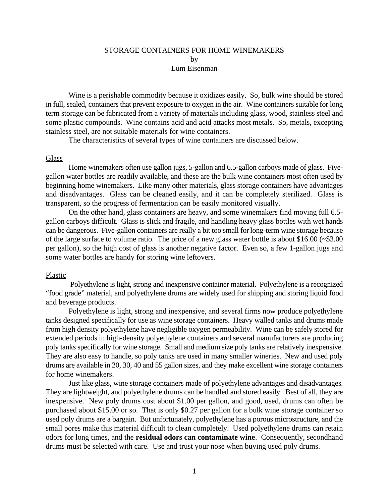# STORAGE CONTAINERS FOR HOME WINEMAKERS by Lum Eisenman

Wine is a perishable commodity because it oxidizes easily. So, bulk wine should be stored in full, sealed, containers that prevent exposure to oxygen in the air. Wine containers suitable for long term storage can be fabricated from a variety of materials including glass, wood, stainless steel and some plastic compounds. Wine contains acid and acid attacks most metals. So, metals, excepting stainless steel, are not suitable materials for wine containers.

The characteristics of several types of wine containers are discussed below.

### Glass

Home winemakers often use gallon jugs, 5-gallon and 6.5-gallon carboys made of glass. Fivegallon water bottles are readily available, and these are the bulk wine containers most often used by beginning home winemakers. Like many other materials, glass storage containers have advantages and disadvantages. Glass can be cleaned easily, and it can be completely sterilized. Glass is transparent, so the progress of fermentation can be easily monitored visually.

On the other hand, glass containers are heavy, and some winemakers find moving full 6.5 gallon carboys difficult. Glass is slick and fragile, and handling heavy glass bottles with wet hands can be dangerous. Five-gallon containers are really a bit too small for long-term wine storage because of the large surface to volume ratio. The price of a new glass water bottle is about \$16.00 (~\$3.00 per gallon), so the high cost of glass is another negative factor. Even so, a few 1-gallon jugs and some water bottles are handy for storing wine leftovers.

## Plastic

 Polyethylene is light, strong and inexpensive container material. Polyethylene is a recognized "food grade" material, and polyethylene drums are widely used for shipping and storing liquid food and beverage products.

Polyethylene is light, strong and inexpensive, and several firms now produce polyethylene tanks designed specifically for use as wine storage containers. Heavy walled tanks and drums made from high density polyethylene have negligible oxygen permeability. Wine can be safely stored for extended periods in high-density polyethylene containers and several manufacturers are producing poly tanks specifically for wine storage. Small and medium size poly tanks are relatively inexpensive. They are also easy to handle, so poly tanks are used in many smaller wineries. New and used poly drums are available in 20, 30, 40 and 55 gallon sizes, and they make excellent wine storage containers for home winemakers.

Just like glass, wine storage containers made of polyethylene advantages and disadvantages. They are lightweight, and polyethylene drums can be handled and stored easily. Best of all, they are inexpensive. New poly drums cost about \$1.00 per gallon, and good, used, drums can often be purchased about \$15.00 or so. That is only \$0.27 per gallon for a bulk wine storage container so used poly drums are a bargain. But unfortunately, polyethylene has a porous microstructure, and the small pores make this material difficult to clean completely. Used polyethylene drums can retain odors for long times, and the **residual odors can contaminate wine**. Consequently, secondhand drums must be selected with care. Use and trust your nose when buying used poly drums.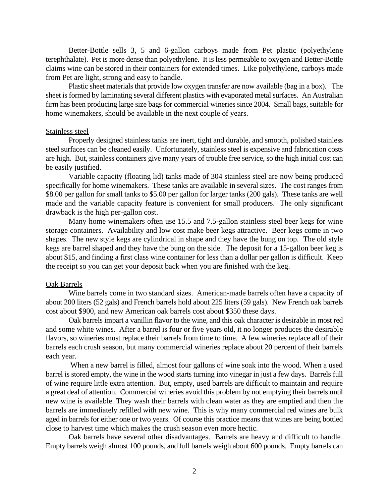Better-Bottle sells 3, 5 and 6-gallon carboys made from Pet plastic (polyethylene terephthalate). Pet is more dense than polyethylene. It is less permeable to oxygen and Better-Bottle claims wine can be stored in their containers for extended times. Like polyethylene, carboys made from Pet are light, strong and easy to handle.

Plastic sheet materials that provide low oxygen transfer are now available (bag in a box). The sheet is formed by laminating several different plastics with evaporated metal surfaces. An Australian firm has been producing large size bags for commercial wineries since 2004. Small bags, suitable for home winemakers, should be available in the next couple of years.

#### Stainless steel

Properly designed stainless tanks are inert, tight and durable, and smooth, polished stainless steel surfaces can be cleaned easily. Unfortunately, stainless steel is expensive and fabrication costs are high. But, stainless containers give many years of trouble free service, so the high initial cost can be easily justified.

 Variable capacity (floating lid) tanks made of 304 stainless steel are now being produced specifically for home winemakers. These tanks are available in several sizes. The cost ranges from \$8.00 per gallon for small tanks to \$5.00 per gallon for larger tanks (200 gals). These tanks are well made and the variable capacity feature is convenient for small producers. The only significant drawback is the high per-gallon cost.

Many home winemakers often use 15.5 and 7.5-gallon stainless steel beer kegs for wine storage containers. Availability and low cost make beer kegs attractive. Beer kegs come in two shapes. The new style kegs are cylindrical in shape and they have the bung on top. The old style kegs are barrel shaped and they have the bung on the side. The deposit for a 15-gallon beer keg is about \$15, and finding a first class wine container for less than a dollar per gallon is difficult. Keep the receipt so you can get your deposit back when you are finished with the keg.

# Oak Barrels

Wine barrels come in two standard sizes. American-made barrels often have a capacity of about 200 liters (52 gals) and French barrels hold about 225 liters (59 gals). New French oak barrels cost about \$900, and new American oak barrels cost about \$350 these days.

Oak barrels impart a vanillin flavor to the wine, and this oak character is desirable in most red and some white wines. After a barrel is four or five years old, it no longer produces the desirable flavors, so wineries must replace their barrels from time to time. A few wineries replace all of their barrels each crush season, but many commercial wineries replace about 20 percent of their barrels each year.

 When a new barrel is filled, almost four gallons of wine soak into the wood. When a used barrel is stored empty, the wine in the wood starts turning into vinegar in just a few days. Barrels full of wine require little extra attention. But, empty, used barrels are difficult to maintain and require a great deal of attention. Commercial wineries avoid this problem by not emptying their barrels until new wine is available. They wash their barrels with clean water as they are emptied and then the barrels are immediately refilled with new wine. This is why many commercial red wines are bulk aged in barrels for either one or two years. Of course this practice means that wines are being bottled close to harvest time which makes the crush season even more hectic.

Oak barrels have several other disadvantages. Barrels are heavy and difficult to handle. Empty barrels weigh almost 100 pounds, and full barrels weigh about 600 pounds. Empty barrels can